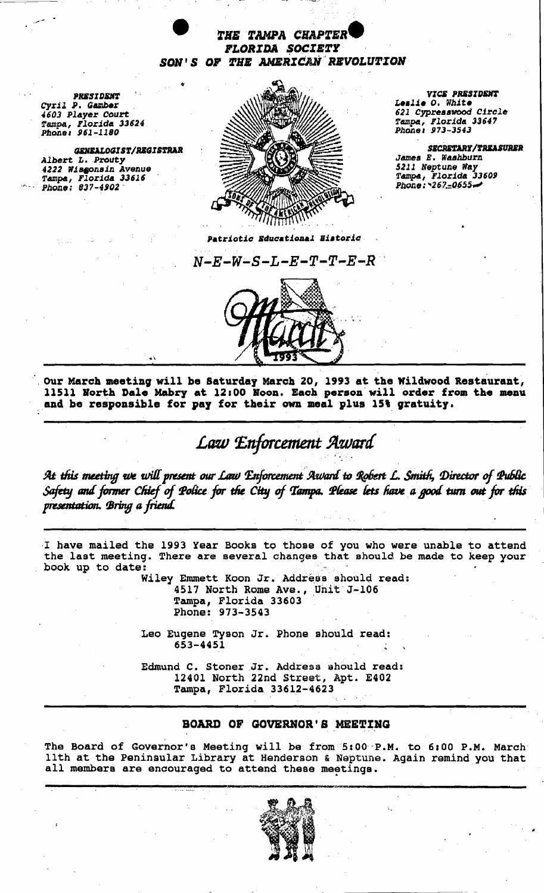

PhOlle, Ph01UU *973-3543 961-1180* 

, ...



621 Cypresswood Circle Tampa, Florida 33647<br>Phone: 973-3543

James E. Washburn<br>5211 Neptune Way<br>Tampa, Florida 33609<br>Phone: 267-0655

Patriotic Educational Eistoric

 $N$ – $E$ – $W$ – $S$ – $L$ – $E$ – $T$ – $T$ – $E$ – $R$ 



, OUr March meeting will be Saturday March 20, 1993 at the Wildwood Restaurant, 11511 Korth Dale Mabry at 12,00 Hoon, Each person'willorder from the menu and be responsible for par for their own meal plus lS' gratuity.

## Law *Enforcement Award*  $\cdot$   $\cdot$  .  $\cdot$  .

At this meeting we will present our Law Enforcement Award to Robert L. Smith, Director of Public Safety and former Chief of Police for the City of Tampa. Please lets have a good turn out for this presentation. Bring a friend.

I have mailed the 1993 Year Books to those of you who were unable to attend the last meeting. There are several changes that should be made to keep your book up to date:

Wiley Emmett Koon Jr. Address should read: 4517 North Rome Ave., Unit'J-106 Tampa, Florida 33603 Phone: 973-3543

Leo Eugene Tyson Jr. Phone should read: 653-4451

Edmund C. Stoner Jr. Address should read: 12401 North 22nd Street, Apt. E402 Tampa, Florida 33612-4623

## BOARD OF GOVERNOR'S MEETING

The Board of Governor's Meeting will be from 5:00 P.M. to 6:00 P.M. March 11th at the Peninsular Library at Henderson & Neptune. Again remind you that all members are encouraged to attend these meetings.

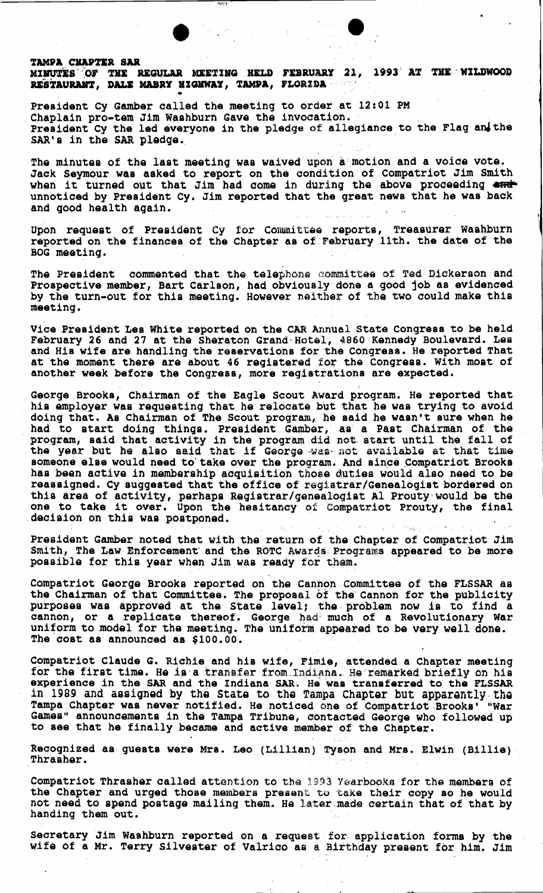## $\bullet$ TAMPA CHAPTER SAR MINUTES OF THE REGULAR MEETING HELD FEBRUARY 21, 1993 AT THE WILDWOOD RESTAURANT, DALE MABRY HIGKWAY, TAMPA, FLORIDA''''.<br>.

President cy Gamber called the meeting to order at 12:01 PM Chaplain pro-tem Jim Washburn Gave the invocation. President Cy the led everyone in the pledge of allegiance to the Flag and the SAR's in the SAR pledge.

The minutes of the last meeting was waived upon a motion and a voice vote. Jack Seymour was asked to report on the condition of Compatriot Jim Smith Jack Seymour was asked to report on the condition of Compatrict Jim Smith<br>when it turned out that Jim had come in during the above proceeding and<br>unnoticed by President Cy. Jim reported that the great news that he was back unnoticed by President Cy. Jim reported that the great news that he was back and good health again.

i

Upon request of President Cy for Committee reports, Treasurer Washburn reported on the finances of the Chapter as of February 11th. the date of the BOG meeting.

The President commented that the telephone committee of Ted Dickerson and Prospective member, Bart Carlson, had obviously done a good job as evidenced by the turn-out for this meeting. However neither of the two could make this meeting.

Vice President Les White reported on the CAR Annual State Congress to be held February 26 and 27 at the Sheraton Grand'Hotel, 4860 Kennedy Boulevard. Les and His wife are handling the reservations for the congress. He reported That at the moment there are about 46 registered for the Congress. With most of another week before the Congress, more registrations are expected.

George Brooks, Chairman of the Eagle Scout Award program. He reported that his employer was requesting that he relocate but that he was trying to avoid doing that. As Chairman of The Scout program, he said he wasn't sure when he had to start doing things. President Gamber,' as a Past Chairman of the program, said that, activity in the program did not. start until the fall of program, said that activity in the program and not start ditit the fair of someone else would need to take over the program. And since Compatriot Brooks has been active in membarship acquisition those duties would also need to be reassigned. Cy suggested that the office of registrar/Genealogist bordered on this area of activity, perhaps Registrar/genealogist Al Prouty'would be the one to take it over. Upon the hesitancy of Compatriot Prouty, the final decision on this was postponed. possible for this year when Jim was ready for them. . .' - .

President Gamber noted that with the return of the Chapter of Compatriot Jim Smith, The Law Enforcement and the ROTC Awards Programs appeared to be more possible for this year when Jim was ready for them.

Compatriot George Brooks reported on the Cannon Committee of the FLSSAR as the Chairman of that Committee. The proposal of the Cannon for the publicity purposes was approved at the State level; the problem now is to find a cannon, or a replicate thereof. George had much of a Revolutionary War uniform to model for the meeting. The uniform appeared to be very well done. The cost as announced aa \$100.00.

Compatriot Claude G. Richie and his wife, Fimie, attended a Chapter meeting for the first time. He is a transfer from Indiana. He remarked briefly on his experience in the SAR and the Indiana SAR. He was transferred to the FLSSAR in 1989 and assigned by the State to the Tampa Chapter but apparently the Tampa Chapter was never notified. He noticed one of Compatriot Brooks' "War Games" announcements in the Tampa Tribune, contacted George who followed up to see that he finally became and active member of the Chapter.

Recognized as guests were Mrs. Leo (Lillian) Tyson and Mrs. Elwin (Billie) ...<br>Thrasher.

Compatriot Thrasher called attention to the 1993 Yearbooks for the members of the Chapter and urged those members present to take their copy so he would not need to spend postage mailing them. He latar made certain that of that by handing them out.

secretary Jim Washburn reported on a request. for. application forms by the wife of a Mr. Terry Silvester of Valrico as a Birthday present for him. Jim

\_.1..- ~~~--,--~----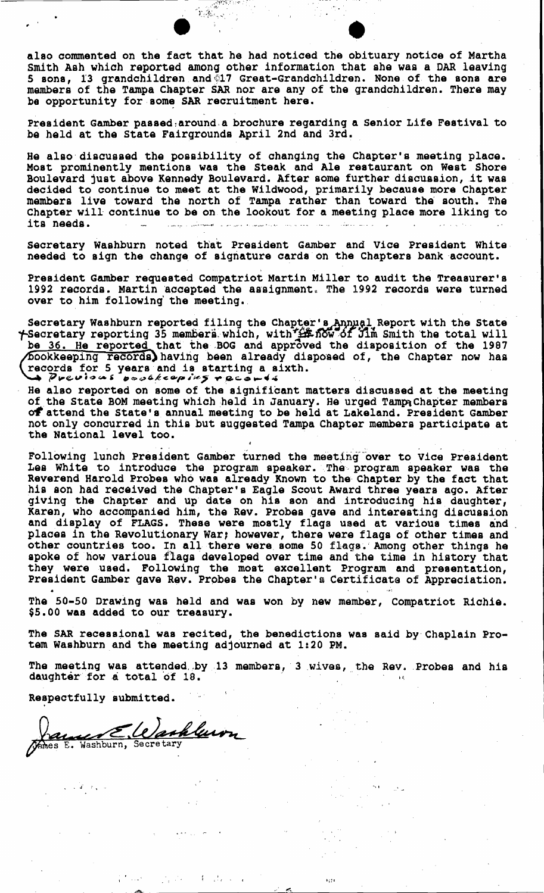also commented on the fact that he had noticed the obituary notice of Martha Smith Ash which reported among other information that she was a DAR leaving 5 sons, 13 grandchildren and  $\bar{C}17$  Great-Grandchildren. None of the sons are members of the Tampa Cbapter SAR nor are any of the grandchildren. There may be opportunity for some SAR recruitment here.

 $\mathcal{X}_1$  ,  $\mathcal{Y}_2$  ,  $\mathcal{Y}_3$ 

President Gamber passed around a brochure regarding a Senior Life Festival to be held at the State Fairgrounds April 2nd and 3rd.

He also' discussed the possibility of changing the Chapter's meeting place. Most prominently mentions was the Steak and Ale restaurant on West Shore Boulevard just above Kennedy Boulevard. After some further discussion,it was decided to continue to meet at the Wildwood, primarily because more Chapter members live toward the north of Tampa rather than toward the' south. The Chapter will continue to be on the lookout for a meeting place more liking to **its needs.** '---.-'.''''''-'''--' ----".,,'" .. ,.",".~' ....- '-'.---~ ,~""- \_.-.

Secretary Washburn noted th'at President Gamber and Vice President White. needed to sign the change of signature cards' on the Chapters bank account.

President Gamber requested compatriot Martin Miller to audit the Treasurer's 1992 records. Martin accepted the assignment. The 1992 records were turned over to him following' the meeting.

Secretary Washburn reported filing the Chapter's Annual Report with the State t-Secretary reporting 35 members, which, with  $\frac{1}{2}$ . Kow of Jim Smith the total will be 36. He reported that the BOG and approved the disposition of the 1987  $\overline{\text{ookkeaping Faccrds}}$  having been already disposed of, the Chapter now has records for 5 years and is starting a sixth.<br>
Previous poolkeeping records

He also reported on some of the significant matters discussed at the meeting of the State BOM meeting which held in January. He urged Tampa Chapter members of attend the State's annual meeting to be held at Lakeland. President Gamber not only concurred in this but suggested Tampa Chapter members participate at the National level too.

Following lunch President Gamber turned the meeting over to Vice President Les White to introduce the program speaker. The, program speaker was the Reverend Harold Probes who was already Known to the· Chapter by the fact that his son had received the Chapter's Eagle Scout Award three years ago. After giving the Chapter and up date on his son and introducing his. daughter, Karen, who accompanied him, the Rev. Probes gave and interesting discussion and display of FLAGS. These were mostly flags used at various times and places in the Revolutionary War; however, there were flags of other times and other countries too. In all there were some 50 flags. Among other things he spoke of how various flags developed over time and the time in history that they were used. Following the most excellent Program and presentation, President Gamber gave Rev. Probes the Chapter's Certificate of Appreciation.

The 50-50 Drawing was held and was won by new member, Compatriot Richie. \$5.00 WAS added to our treasury.

The SAR recessional was recited, the benedictions was said by' Chaplain Protem Washburn and the meeting adjourned at 1:20 PM.

The meeting was attended by 13 members, 3 wives, the Rev. Probes and his daughter for a total of 18.

 $4.11$ 

 $\mathbf{r}$ 

Respectfully submitted.

 $\mathcal{L} \rightarrow \mathcal{L} \rightarrow \mathcal{L}$ 

Washlewn au E James E. Washburn, Secretary

........  $\overline{a}$ 

 $\mathcal{F}_{\text{max}}$  .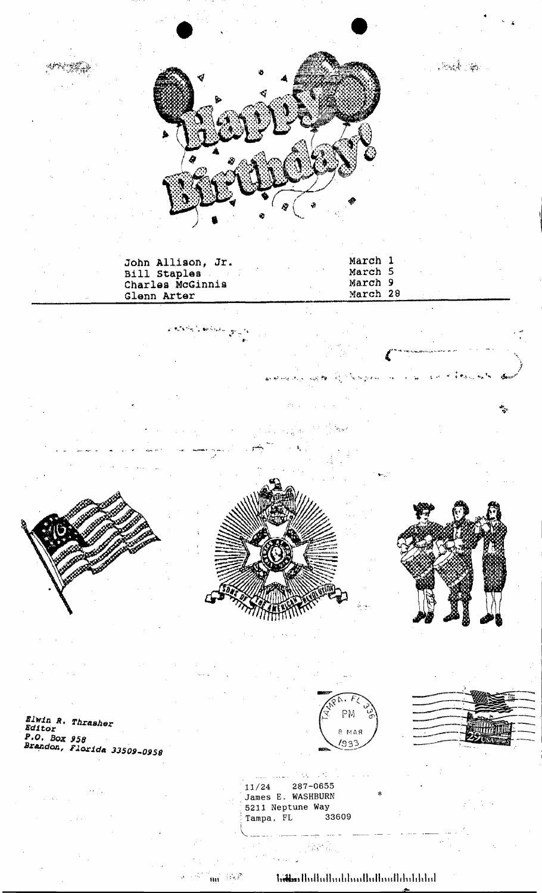

| Glenn Arter | John Allison, Jr.<br>Bill Staples<br>Charles McGinnis |  | March 1<br>March 5<br>March 9<br>March 28 |  |  |
|-------------|-------------------------------------------------------|--|-------------------------------------------|--|--|
|             |                                                       |  |                                           |  |  |
|             | ليعرفه والمحولات المحلال                              |  |                                           |  |  |
|             |                                                       |  |                                           |  |  |
|             |                                                       |  |                                           |  |  |
|             |                                                       |  |                                           |  |  |
|             |                                                       |  |                                           |  |  |
|             |                                                       |  |                                           |  |  |
|             |                                                       |  |                                           |  |  |

*Elwin R. Thrasher<br>Editor<br>P.O. Box 958<br>Brandon, Florida 33509-0958* 



 $\mathcal{F}_1^{\ast}$ 

작은 것

Strick Sept

287-0655 11/24 James E. WASHBURN 5211 Neptune Way<br>Tampa, FL 33609

 $\mathcal{L}_{\mathbf{z}}(k)$ 

1945 P  $\mathbf{\hat{H}}$ 

**hitlers** thathathatchard alloud about the bottled